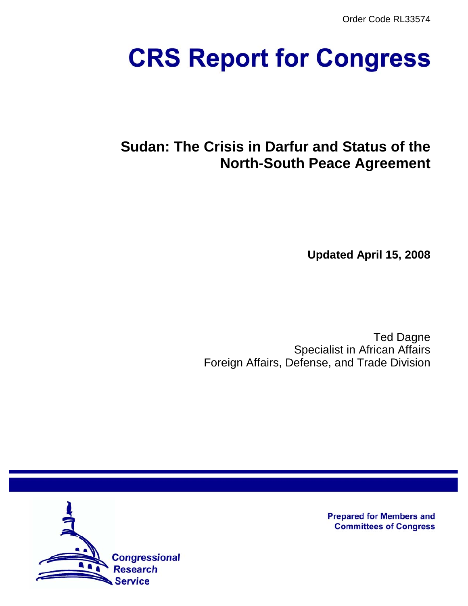Order Code RL33574

# **CRS Report for Congress**

## **Sudan: The Crisis in Darfur and Status of the North-South Peace Agreement**

**Updated April 15, 2008**

Ted Dagne Specialist in African Affairs Foreign Affairs, Defense, and Trade Division



**Prepared for Members and Committees of Congress**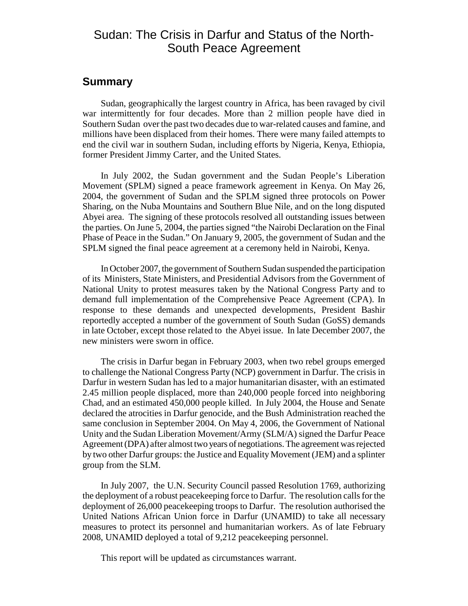## Sudan: The Crisis in Darfur and Status of the North-South Peace Agreement

## **Summary**

Sudan, geographically the largest country in Africa, has been ravaged by civil war intermittently for four decades. More than 2 million people have died in Southern Sudan over the past two decades due to war-related causes and famine, and millions have been displaced from their homes. There were many failed attempts to end the civil war in southern Sudan, including efforts by Nigeria, Kenya, Ethiopia, former President Jimmy Carter, and the United States.

In July 2002, the Sudan government and the Sudan People's Liberation Movement (SPLM) signed a peace framework agreement in Kenya. On May 26, 2004, the government of Sudan and the SPLM signed three protocols on Power Sharing, on the Nuba Mountains and Southern Blue Nile, and on the long disputed Abyei area. The signing of these protocols resolved all outstanding issues between the parties. On June 5, 2004, the parties signed "the Nairobi Declaration on the Final Phase of Peace in the Sudan." On January 9, 2005, the government of Sudan and the SPLM signed the final peace agreement at a ceremony held in Nairobi, Kenya.

In October 2007, the government of Southern Sudan suspended the participation of its Ministers, State Ministers, and Presidential Advisors from the Government of National Unity to protest measures taken by the National Congress Party and to demand full implementation of the Comprehensive Peace Agreement (CPA). In response to these demands and unexpected developments, President Bashir reportedly accepted a number of the government of South Sudan (GoSS) demands in late October, except those related to the Abyei issue. In late December 2007, the new ministers were sworn in office.

The crisis in Darfur began in February 2003, when two rebel groups emerged to challenge the National Congress Party (NCP) government in Darfur. The crisis in Darfur in western Sudan has led to a major humanitarian disaster, with an estimated 2.45 million people displaced, more than 240,000 people forced into neighboring Chad, and an estimated 450,000 people killed. In July 2004, the House and Senate declared the atrocities in Darfur genocide, and the Bush Administration reached the same conclusion in September 2004. On May 4, 2006, the Government of National Unity and the Sudan Liberation Movement/Army (SLM/A) signed the Darfur Peace Agreement (DPA) after almost two years of negotiations. The agreement was rejected by two other Darfur groups: the Justice and Equality Movement (JEM) and a splinter group from the SLM.

In July 2007, the U.N. Security Council passed Resolution 1769, authorizing the deployment of a robust peacekeeping force to Darfur. The resolution calls for the deployment of 26,000 peacekeeping troops to Darfur. The resolution authorised the United Nations African Union force in Darfur (UNAMID) to take all necessary measures to protect its personnel and humanitarian workers. As of late February 2008, UNAMID deployed a total of 9,212 peacekeeping personnel.

This report will be updated as circumstances warrant.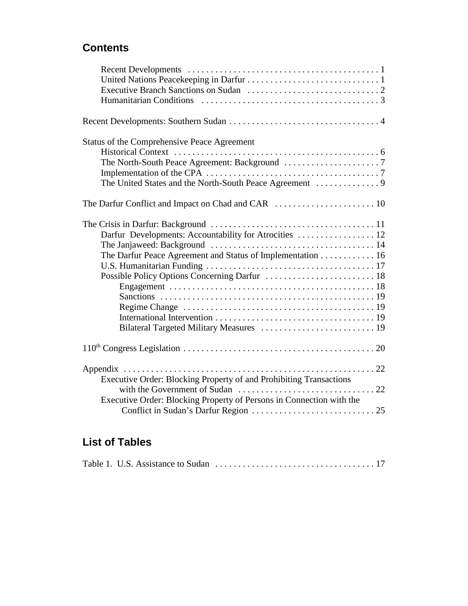## **Contents**

| Status of the Comprehensive Peace Agreement                                                                          |  |
|----------------------------------------------------------------------------------------------------------------------|--|
|                                                                                                                      |  |
|                                                                                                                      |  |
|                                                                                                                      |  |
| Darfur Developments: Accountability for Atrocities  12<br>The Darfur Peace Agreement and Status of Implementation 16 |  |
|                                                                                                                      |  |
| Executive Order: Blocking Property of and Prohibiting Transactions                                                   |  |
| Executive Order: Blocking Property of Persons in Connection with the                                                 |  |

## **List of Tables**

|--|--|--|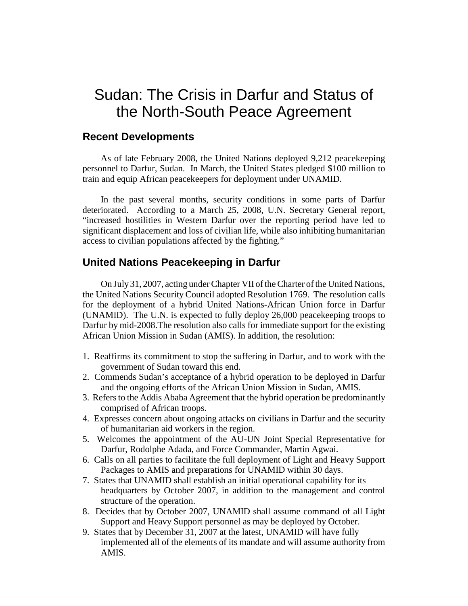## Sudan: The Crisis in Darfur and Status of the North-South Peace Agreement

### **Recent Developments**

As of late February 2008, the United Nations deployed 9,212 peacekeeping personnel to Darfur, Sudan. In March, the United States pledged \$100 million to train and equip African peacekeepers for deployment under UNAMID.

In the past several months, security conditions in some parts of Darfur deteriorated. According to a March 25, 2008, U.N. Secretary General report, "increased hostilities in Western Darfur over the reporting period have led to significant displacement and loss of civilian life, while also inhibiting humanitarian access to civilian populations affected by the fighting."

## **United Nations Peacekeeping in Darfur**

On July 31, 2007, acting under Chapter VII of the Charter of the United Nations, the United Nations Security Council adopted Resolution 1769. The resolution calls for the deployment of a hybrid United Nations-African Union force in Darfur (UNAMID). The U.N. is expected to fully deploy 26,000 peacekeeping troops to Darfur by mid-2008.The resolution also calls for immediate support for the existing African Union Mission in Sudan (AMIS). In addition, the resolution:

- 1. Reaffirms its commitment to stop the suffering in Darfur, and to work with the government of Sudan toward this end.
- 2. Commends Sudan's acceptance of a hybrid operation to be deployed in Darfur and the ongoing efforts of the African Union Mission in Sudan, AMIS.
- 3. Refers to the Addis Ababa Agreement that the hybrid operation be predominantly comprised of African troops.
- 4. Expresses concern about ongoing attacks on civilians in Darfur and the security of humanitarian aid workers in the region.
- 5. Welcomes the appointment of the AU-UN Joint Special Representative for Darfur, Rodolphe Adada, and Force Commander, Martin Agwai.
- 6. Calls on all parties to facilitate the full deployment of Light and Heavy Support Packages to AMIS and preparations for UNAMID within 30 days.
- 7. States that UNAMID shall establish an initial operational capability for its headquarters by October 2007, in addition to the management and control structure of the operation.
- 8. Decides that by October 2007, UNAMID shall assume command of all Light Support and Heavy Support personnel as may be deployed by October.
- 9. States that by December 31, 2007 at the latest, UNAMID will have fully implemented all of the elements of its mandate and will assume authority from AMIS.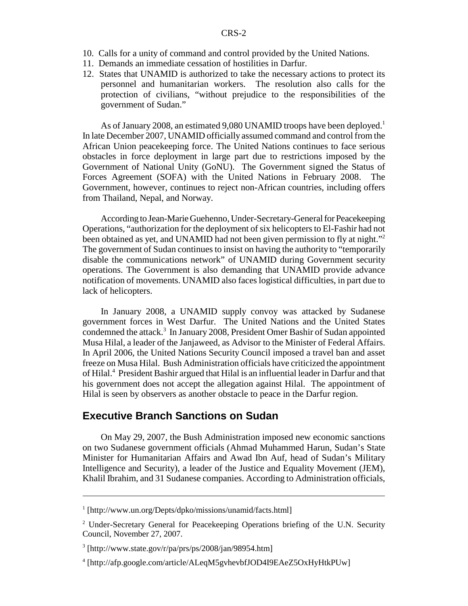- 10. Calls for a unity of command and control provided by the United Nations.
- 11. Demands an immediate cessation of hostilities in Darfur.
- 12. States that UNAMID is authorized to take the necessary actions to protect its personnel and humanitarian workers. The resolution also calls for the protection of civilians, "without prejudice to the responsibilities of the government of Sudan."

As of January 2008, an estimated 9,080 UNAMID troops have been deployed.<sup>1</sup> In late December 2007, UNAMID officially assumed command and control from the African Union peacekeeping force. The United Nations continues to face serious obstacles in force deployment in large part due to restrictions imposed by the Government of National Unity (GoNU). The Government signed the Status of Forces Agreement (SOFA) with the United Nations in February 2008. The Government, however, continues to reject non-African countries, including offers from Thailand, Nepal, and Norway.

According to Jean-Marie Guehenno, Under-Secretary-General for Peacekeeping Operations, "authorization for the deployment of six helicopters to El-Fashir had not been obtained as yet, and UNAMID had not been given permission to fly at night."<sup>2</sup> The government of Sudan continues to insist on having the authority to "temporarily disable the communications network" of UNAMID during Government security operations. The Government is also demanding that UNAMID provide advance notification of movements. UNAMID also faces logistical difficulties, in part due to lack of helicopters.

In January 2008, a UNAMID supply convoy was attacked by Sudanese government forces in West Darfur. The United Nations and the United States condemned the attack.<sup>3</sup> In January 2008, President Omer Bashir of Sudan appointed Musa Hilal, a leader of the Janjaweed, as Advisor to the Minister of Federal Affairs. In April 2006, the United Nations Security Council imposed a travel ban and asset freeze on Musa Hilal. Bush Administration officials have criticized the appointment of Hilal.<sup>4</sup> President Bashir argued that Hilal is an influential leader in Darfur and that his government does not accept the allegation against Hilal. The appointment of Hilal is seen by observers as another obstacle to peace in the Darfur region.

#### **Executive Branch Sanctions on Sudan**

On May 29, 2007, the Bush Administration imposed new economic sanctions on two Sudanese government officials (Ahmad Muhammed Harun, Sudan's State Minister for Humanitarian Affairs and Awad Ibn Auf, head of Sudan's Military Intelligence and Security), a leader of the Justice and Equality Movement (JEM), Khalil Ibrahim, and 31 Sudanese companies. According to Administration officials,

<sup>&</sup>lt;sup>1</sup> [http://www.un.org/Depts/dpko/missions/unamid/facts.html]

<sup>&</sup>lt;sup>2</sup> Under-Secretary General for Peacekeeping Operations briefing of the U.N. Security Council, November 27, 2007.

<sup>3</sup> [http://www.state.gov/r/pa/prs/ps/2008/jan/98954.htm]

<sup>4</sup> [http://afp.google.com/article/ALeqM5gvhevbfJOD4I9EAeZ5OxHyHtkPUw]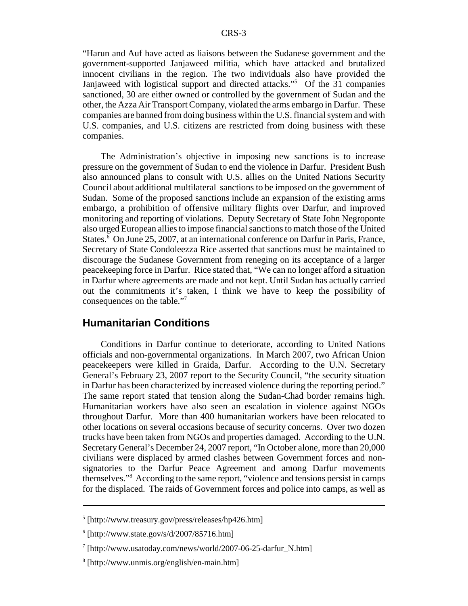"Harun and Auf have acted as liaisons between the Sudanese government and the government-supported Janjaweed militia, which have attacked and brutalized innocent civilians in the region. The two individuals also have provided the Janjaweed with logistical support and directed attacks."5 Of the 31 companies sanctioned, 30 are either owned or controlled by the government of Sudan and the other, the Azza Air Transport Company, violated the arms embargo in Darfur. These companies are banned from doing business within the U.S. financial system and with U.S. companies, and U.S. citizens are restricted from doing business with these companies.

The Administration's objective in imposing new sanctions is to increase pressure on the government of Sudan to end the violence in Darfur. President Bush also announced plans to consult with U.S. allies on the United Nations Security Council about additional multilateral sanctions to be imposed on the government of Sudan. Some of the proposed sanctions include an expansion of the existing arms embargo, a prohibition of offensive military flights over Darfur, and improved monitoring and reporting of violations. Deputy Secretary of State John Negroponte also urged European allies to impose financial sanctions to match those of the United States.<sup>6</sup> On June 25, 2007, at an international conference on Darfur in Paris, France, Secretary of State Condoleezza Rice asserted that sanctions must be maintained to discourage the Sudanese Government from reneging on its acceptance of a larger peacekeeping force in Darfur. Rice stated that, "We can no longer afford a situation in Darfur where agreements are made and not kept. Until Sudan has actually carried out the commitments it's taken, I think we have to keep the possibility of consequences on the table."7

#### **Humanitarian Conditions**

Conditions in Darfur continue to deteriorate, according to United Nations officials and non-governmental organizations. In March 2007, two African Union peacekeepers were killed in Graida, Darfur. According to the U.N. Secretary General's February 23, 2007 report to the Security Council, "the security situation in Darfur has been characterized by increased violence during the reporting period." The same report stated that tension along the Sudan-Chad border remains high. Humanitarian workers have also seen an escalation in violence against NGOs throughout Darfur. More than 400 humanitarian workers have been relocated to other locations on several occasions because of security concerns. Over two dozen trucks have been taken from NGOs and properties damaged. According to the U.N. Secretary General's December 24, 2007 report, "In October alone, more than 20,000 civilians were displaced by armed clashes between Government forces and nonsignatories to the Darfur Peace Agreement and among Darfur movements themselves."8 According to the same report, "violence and tensions persist in camps for the displaced. The raids of Government forces and police into camps, as well as

<sup>5</sup> [http://www.treasury.gov/press/releases/hp426.htm]

 $6$  [http://www.state.gov/s/d/2007/85716.htm]

<sup>7</sup> [http://www.usatoday.com/news/world/2007-06-25-darfur\_N.htm]

<sup>8</sup> [http://www.unmis.org/english/en-main.htm]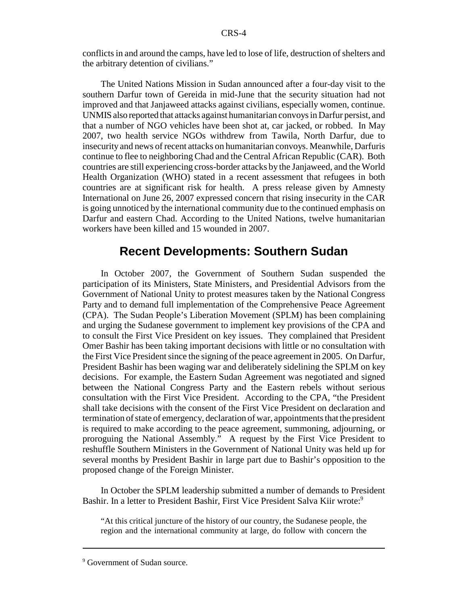conflicts in and around the camps, have led to lose of life, destruction of shelters and the arbitrary detention of civilians."

The United Nations Mission in Sudan announced after a four-day visit to the southern Darfur town of Gereida in mid-June that the security situation had not improved and that Janjaweed attacks against civilians, especially women, continue. UNMIS also reported that attacks against humanitarian convoys in Darfur persist, and that a number of NGO vehicles have been shot at, car jacked, or robbed. In May 2007, two health service NGOs withdrew from Tawila, North Darfur, due to insecurity and news of recent attacks on humanitarian convoys. Meanwhile, Darfuris continue to flee to neighboring Chad and the Central African Republic (CAR). Both countries are still experiencing cross-border attacks by the Janjaweed, and the World Health Organization (WHO) stated in a recent assessment that refugees in both countries are at significant risk for health. A press release given by Amnesty International on June 26, 2007 expressed concern that rising insecurity in the CAR is going unnoticed by the international community due to the continued emphasis on Darfur and eastern Chad. According to the United Nations, twelve humanitarian workers have been killed and 15 wounded in 2007.

## **Recent Developments: Southern Sudan**

In October 2007, the Government of Southern Sudan suspended the participation of its Ministers, State Ministers, and Presidential Advisors from the Government of National Unity to protest measures taken by the National Congress Party and to demand full implementation of the Comprehensive Peace Agreement (CPA). The Sudan People's Liberation Movement (SPLM) has been complaining and urging the Sudanese government to implement key provisions of the CPA and to consult the First Vice President on key issues. They complained that President Omer Bashir has been taking important decisions with little or no consultation with the First Vice President since the signing of the peace agreement in 2005. On Darfur, President Bashir has been waging war and deliberately sidelining the SPLM on key decisions. For example, the Eastern Sudan Agreement was negotiated and signed between the National Congress Party and the Eastern rebels without serious consultation with the First Vice President. According to the CPA, "the President shall take decisions with the consent of the First Vice President on declaration and termination of state of emergency, declaration of war, appointments that the president is required to make according to the peace agreement, summoning, adjourning, or proroguing the National Assembly." A request by the First Vice President to reshuffle Southern Ministers in the Government of National Unity was held up for several months by President Bashir in large part due to Bashir's opposition to the proposed change of the Foreign Minister.

In October the SPLM leadership submitted a number of demands to President Bashir. In a letter to President Bashir, First Vice President Salva Kiir wrote:<sup>9</sup>

"At this critical juncture of the history of our country, the Sudanese people, the region and the international community at large, do follow with concern the

<sup>&</sup>lt;sup>9</sup> Government of Sudan source.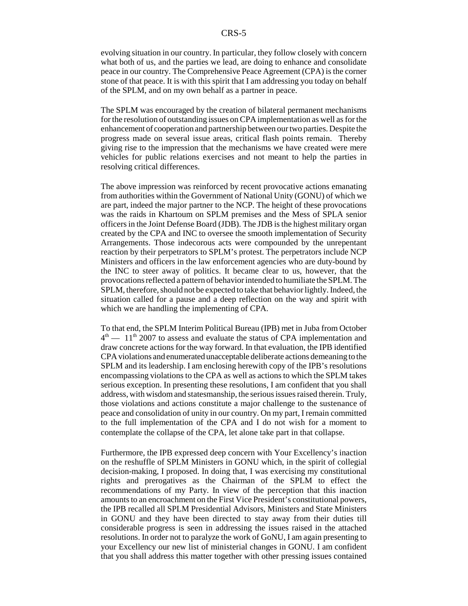evolving situation in our country. In particular, they follow closely with concern what both of us, and the parties we lead, are doing to enhance and consolidate peace in our country. The Comprehensive Peace Agreement (CPA) is the corner stone of that peace. It is with this spirit that I am addressing you today on behalf of the SPLM, and on my own behalf as a partner in peace.

The SPLM was encouraged by the creation of bilateral permanent mechanisms for the resolution of outstanding issues on CPA implementation as well as for the enhancement of cooperation and partnership between our two parties. Despite the progress made on several issue areas, critical flash points remain. Thereby giving rise to the impression that the mechanisms we have created were mere vehicles for public relations exercises and not meant to help the parties in resolving critical differences.

The above impression was reinforced by recent provocative actions emanating from authorities within the Government of National Unity (GONU) of which we are part, indeed the major partner to the NCP. The height of these provocations was the raids in Khartoum on SPLM premises and the Mess of SPLA senior officers in the Joint Defense Board (JDB). The JDB is the highest military organ created by the CPA and INC to oversee the smooth implementation of Security Arrangements. Those indecorous acts were compounded by the unrepentant reaction by their perpetrators to SPLM's protest. The perpetrators include NCP Ministers and officers in the law enforcement agencies who are duty-bound by the INC to steer away of politics. It became clear to us, however, that the provocations reflected a pattern of behavior intended to humiliate the SPLM. The SPLM, therefore, should not be expected to take that behavior lightly. Indeed, the situation called for a pause and a deep reflection on the way and spirit with which we are handling the implementing of CPA.

To that end, the SPLM Interim Political Bureau (IPB) met in Juba from October  $4<sup>th</sup>$  — 11<sup>th</sup> 2007 to assess and evaluate the status of CPA implementation and draw concrete actions for the way forward. In that evaluation, the IPB identified CPA violations and enumerated unacceptable deliberate actions demeaning to the SPLM and its leadership. I am enclosing herewith copy of the IPB's resolutions encompassing violations to the CPA as well as actions to which the SPLM takes serious exception. In presenting these resolutions, I am confident that you shall address, with wisdom and statesmanship, the serious issues raised therein. Truly, those violations and actions constitute a major challenge to the sustenance of peace and consolidation of unity in our country. On my part, I remain committed to the full implementation of the CPA and I do not wish for a moment to contemplate the collapse of the CPA, let alone take part in that collapse.

Furthermore, the IPB expressed deep concern with Your Excellency's inaction on the reshuffle of SPLM Ministers in GONU which, in the spirit of collegial decision-making, I proposed. In doing that, I was exercising my constitutional rights and prerogatives as the Chairman of the SPLM to effect the recommendations of my Party. In view of the perception that this inaction amounts to an encroachment on the First Vice President's constitutional powers, the IPB recalled all SPLM Presidential Advisors, Ministers and State Ministers in GONU and they have been directed to stay away from their duties till considerable progress is seen in addressing the issues raised in the attached resolutions. In order not to paralyze the work of GoNU, I am again presenting to your Excellency our new list of ministerial changes in GONU. I am confident that you shall address this matter together with other pressing issues contained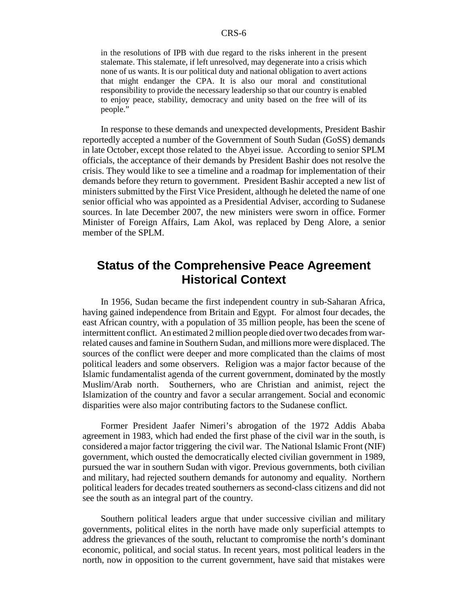in the resolutions of IPB with due regard to the risks inherent in the present stalemate. This stalemate, if left unresolved, may degenerate into a crisis which none of us wants. It is our political duty and national obligation to avert actions that might endanger the CPA. It is also our moral and constitutional responsibility to provide the necessary leadership so that our country is enabled to enjoy peace, stability, democracy and unity based on the free will of its people."

In response to these demands and unexpected developments, President Bashir reportedly accepted a number of the Government of South Sudan (GoSS) demands in late October, except those related to the Abyei issue. According to senior SPLM officials, the acceptance of their demands by President Bashir does not resolve the crisis. They would like to see a timeline and a roadmap for implementation of their demands before they return to government. President Bashir accepted a new list of ministers submitted by the First Vice President, although he deleted the name of one senior official who was appointed as a Presidential Adviser, according to Sudanese sources. In late December 2007, the new ministers were sworn in office. Former Minister of Foreign Affairs, Lam Akol, was replaced by Deng Alore, a senior member of the SPLM.

## **Status of the Comprehensive Peace Agreement Historical Context**

In 1956, Sudan became the first independent country in sub-Saharan Africa, having gained independence from Britain and Egypt. For almost four decades, the east African country, with a population of 35 million people, has been the scene of intermittent conflict. An estimated 2 million people died over two decades from warrelated causes and famine in Southern Sudan, and millions more were displaced. The sources of the conflict were deeper and more complicated than the claims of most political leaders and some observers. Religion was a major factor because of the Islamic fundamentalist agenda of the current government, dominated by the mostly Muslim/Arab north. Southerners, who are Christian and animist, reject the Islamization of the country and favor a secular arrangement. Social and economic disparities were also major contributing factors to the Sudanese conflict.

Former President Jaafer Nimeri's abrogation of the 1972 Addis Ababa agreement in 1983, which had ended the first phase of the civil war in the south, is considered a major factor triggering the civil war. The National Islamic Front (NIF) government, which ousted the democratically elected civilian government in 1989, pursued the war in southern Sudan with vigor. Previous governments, both civilian and military, had rejected southern demands for autonomy and equality. Northern political leaders for decades treated southerners as second-class citizens and did not see the south as an integral part of the country.

Southern political leaders argue that under successive civilian and military governments, political elites in the north have made only superficial attempts to address the grievances of the south, reluctant to compromise the north's dominant economic, political, and social status. In recent years, most political leaders in the north, now in opposition to the current government, have said that mistakes were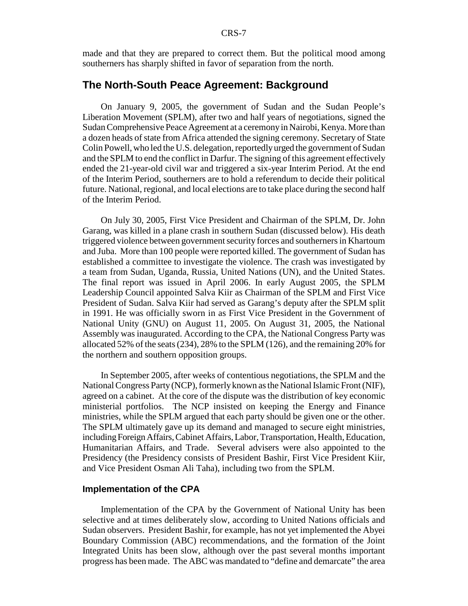made and that they are prepared to correct them. But the political mood among southerners has sharply shifted in favor of separation from the north.

#### **The North-South Peace Agreement: Background**

On January 9, 2005, the government of Sudan and the Sudan People's Liberation Movement (SPLM), after two and half years of negotiations, signed the Sudan Comprehensive Peace Agreement at a ceremony in Nairobi, Kenya. More than a dozen heads of state from Africa attended the signing ceremony. Secretary of State Colin Powell, who led the U.S. delegation, reportedly urged the government of Sudan and the SPLM to end the conflict in Darfur. The signing of this agreement effectively ended the 21-year-old civil war and triggered a six-year Interim Period. At the end of the Interim Period, southerners are to hold a referendum to decide their political future. National, regional, and local elections are to take place during the second half of the Interim Period.

On July 30, 2005, First Vice President and Chairman of the SPLM, Dr. John Garang, was killed in a plane crash in southern Sudan (discussed below). His death triggered violence between government security forces and southerners in Khartoum and Juba. More than 100 people were reported killed. The government of Sudan has established a committee to investigate the violence. The crash was investigated by a team from Sudan, Uganda, Russia, United Nations (UN), and the United States. The final report was issued in April 2006. In early August 2005, the SPLM Leadership Council appointed Salva Kiir as Chairman of the SPLM and First Vice President of Sudan. Salva Kiir had served as Garang's deputy after the SPLM split in 1991. He was officially sworn in as First Vice President in the Government of National Unity (GNU) on August 11, 2005. On August 31, 2005, the National Assembly was inaugurated. According to the CPA, the National Congress Party was allocated 52% of the seats (234), 28% to the SPLM (126), and the remaining 20% for the northern and southern opposition groups.

In September 2005, after weeks of contentious negotiations, the SPLM and the National Congress Party (NCP), formerly known as the National Islamic Front (NIF), agreed on a cabinet. At the core of the dispute was the distribution of key economic ministerial portfolios. The NCP insisted on keeping the Energy and Finance ministries, while the SPLM argued that each party should be given one or the other. The SPLM ultimately gave up its demand and managed to secure eight ministries, including Foreign Affairs, Cabinet Affairs, Labor, Transportation, Health, Education, Humanitarian Affairs, and Trade. Several advisers were also appointed to the Presidency (the Presidency consists of President Bashir, First Vice President Kiir, and Vice President Osman Ali Taha), including two from the SPLM.

#### **Implementation of the CPA**

Implementation of the CPA by the Government of National Unity has been selective and at times deliberately slow, according to United Nations officials and Sudan observers. President Bashir, for example, has not yet implemented the Abyei Boundary Commission (ABC) recommendations, and the formation of the Joint Integrated Units has been slow, although over the past several months important progress has been made. The ABC was mandated to "define and demarcate" the area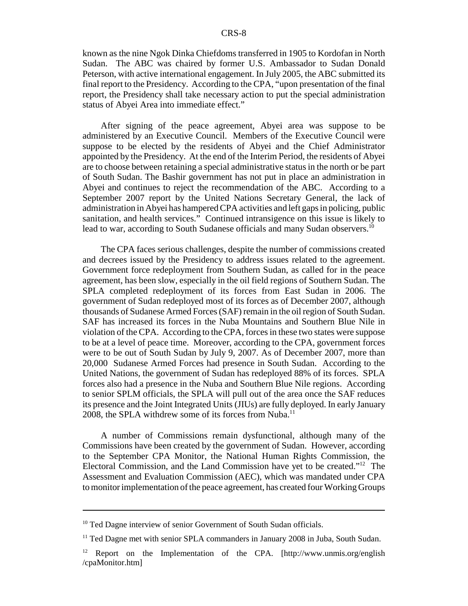known as the nine Ngok Dinka Chiefdoms transferred in 1905 to Kordofan in North Sudan. The ABC was chaired by former U.S. Ambassador to Sudan Donald Peterson, with active international engagement. In July 2005, the ABC submitted its final report to the Presidency. According to the CPA, "upon presentation of the final report, the Presidency shall take necessary action to put the special administration status of Abyei Area into immediate effect."

After signing of the peace agreement, Abyei area was suppose to be administered by an Executive Council. Members of the Executive Council were suppose to be elected by the residents of Abyei and the Chief Administrator appointed by the Presidency. At the end of the Interim Period, the residents of Abyei are to choose between retaining a special administrative status in the north or be part of South Sudan. The Bashir government has not put in place an administration in Abyei and continues to reject the recommendation of the ABC. According to a September 2007 report by the United Nations Secretary General, the lack of administration in Abyei has hampered CPA activities and left gaps in policing, public sanitation, and health services." Continued intransigence on this issue is likely to lead to war, according to South Sudanese officials and many Sudan observers.<sup>10</sup>

The CPA faces serious challenges, despite the number of commissions created and decrees issued by the Presidency to address issues related to the agreement. Government force redeployment from Southern Sudan, as called for in the peace agreement, has been slow, especially in the oil field regions of Southern Sudan. The SPLA completed redeployment of its forces from East Sudan in 2006. The government of Sudan redeployed most of its forces as of December 2007, although thousands of Sudanese Armed Forces (SAF) remain in the oil region of South Sudan. SAF has increased its forces in the Nuba Mountains and Southern Blue Nile in violation of the CPA. According to the CPA, forces in these two states were suppose to be at a level of peace time. Moreover, according to the CPA, government forces were to be out of South Sudan by July 9, 2007. As of December 2007, more than 20,000 Sudanese Armed Forces had presence in South Sudan. According to the United Nations, the government of Sudan has redeployed 88% of its forces. SPLA forces also had a presence in the Nuba and Southern Blue Nile regions. According to senior SPLM officials, the SPLA will pull out of the area once the SAF reduces its presence and the Joint Integrated Units (JIUs) are fully deployed. In early January 2008, the SPLA withdrew some of its forces from Nuba.<sup>11</sup>

A number of Commissions remain dysfunctional, although many of the Commissions have been created by the government of Sudan. However, according to the September CPA Monitor, the National Human Rights Commission, the Electoral Commission, and the Land Commission have yet to be created."12 The Assessment and Evaluation Commission (AEC), which was mandated under CPA to monitor implementation of the peace agreement, has created four Working Groups

<sup>&</sup>lt;sup>10</sup> Ted Dagne interview of senior Government of South Sudan officials.

<sup>&</sup>lt;sup>11</sup> Ted Dagne met with senior SPLA commanders in January 2008 in Juba, South Sudan.

<sup>&</sup>lt;sup>12</sup> Report on the Implementation of the CPA. [http://www.unmis.org/english /cpaMonitor.htm]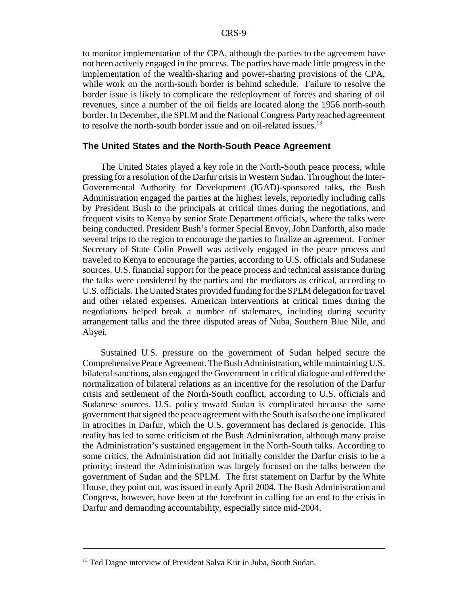to monitor implementation of the CPA, although the parties to the agreement have not been actively engaged in the process. The parties have made little progress in the implementation of the wealth-sharing and power-sharing provisions of the CPA, while work on the north-south border is behind schedule. Failure to resolve the border issue is likely to complicate the redeployment of forces and sharing of oil revenues, since a number of the oil fields are located along the 1956 north-south border. In December, the SPLM and the National Congress Party reached agreement to resolve the north-south border issue and on oil-related issues.<sup>13</sup>

#### **The United States and the North-South Peace Agreement**

The United States played a key role in the North-South peace process, while pressing for a resolution of the Darfur crisis in Western Sudan. Throughout the Inter-Governmental Authority for Development (IGAD)-sponsored talks, the Bush Administration engaged the parties at the highest levels, reportedly including calls by President Bush to the principals at critical times during the negotiations, and frequent visits to Kenya by senior State Department officials, where the talks were being conducted. President Bush's former Special Envoy, John Danforth, also made several trips to the region to encourage the parties to finalize an agreement. Former Secretary of State Colin Powell was actively engaged in the peace process and traveled to Kenya to encourage the parties, according to U.S. officials and Sudanese sources. U.S. financial support for the peace process and technical assistance during the talks were considered by the parties and the mediators as critical, according to U.S. officials. The United States provided funding for the SPLM delegation for travel and other related expenses. American interventions at critical times during the negotiations helped break a number of stalemates, including during security arrangement talks and the three disputed areas of Nuba, Southern Blue Nile, and Abyei.

Sustained U.S. pressure on the government of Sudan helped secure the Comprehensive Peace Agreement. The Bush Administration, while maintaining U.S. bilateral sanctions, also engaged the Government in critical dialogue and offered the normalization of bilateral relations as an incentive for the resolution of the Darfur crisis and settlement of the North-South conflict, according to U.S. officials and Sudanese sources. U.S. policy toward Sudan is complicated because the same government that signed the peace agreement with the South is also the one implicated in atrocities in Darfur, which the U.S. government has declared is genocide. This reality has led to some criticism of the Bush Administration, although many praise the Administration's sustained engagement in the North-South talks. According to some critics, the Administration did not initially consider the Darfur crisis to be a priority; instead the Administration was largely focused on the talks between the government of Sudan and the SPLM. The first statement on Darfur by the White House, they point out, was issued in early April 2004. The Bush Administration and Congress, however, have been at the forefront in calling for an end to the crisis in Darfur and demanding accountability, especially since mid-2004.

<sup>&</sup>lt;sup>13</sup> Ted Dagne interview of President Salva Kiir in Juba, South Sudan.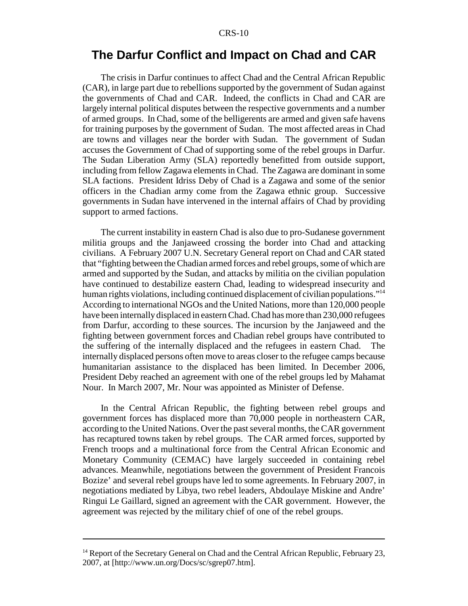## **The Darfur Conflict and Impact on Chad and CAR**

The crisis in Darfur continues to affect Chad and the Central African Republic (CAR), in large part due to rebellions supported by the government of Sudan against the governments of Chad and CAR. Indeed, the conflicts in Chad and CAR are largely internal political disputes between the respective governments and a number of armed groups. In Chad, some of the belligerents are armed and given safe havens for training purposes by the government of Sudan. The most affected areas in Chad are towns and villages near the border with Sudan. The government of Sudan accuses the Government of Chad of supporting some of the rebel groups in Darfur. The Sudan Liberation Army (SLA) reportedly benefitted from outside support, including from fellow Zagawa elements in Chad. The Zagawa are dominant in some SLA factions. President Idriss Deby of Chad is a Zagawa and some of the senior officers in the Chadian army come from the Zagawa ethnic group. Successive governments in Sudan have intervened in the internal affairs of Chad by providing support to armed factions.

The current instability in eastern Chad is also due to pro-Sudanese government militia groups and the Janjaweed crossing the border into Chad and attacking civilians. A February 2007 U.N. Secretary General report on Chad and CAR stated that "fighting between the Chadian armed forces and rebel groups, some of which are armed and supported by the Sudan, and attacks by militia on the civilian population have continued to destabilize eastern Chad, leading to widespread insecurity and human rights violations, including continued displacement of civilian populations."<sup>14</sup> According to international NGOs and the United Nations, more than 120,000 people have been internally displaced in eastern Chad. Chad has more than 230,000 refugees from Darfur, according to these sources. The incursion by the Janjaweed and the fighting between government forces and Chadian rebel groups have contributed to the suffering of the internally displaced and the refugees in eastern Chad. The internally displaced persons often move to areas closer to the refugee camps because humanitarian assistance to the displaced has been limited. In December 2006, President Deby reached an agreement with one of the rebel groups led by Mahamat Nour. In March 2007, Mr. Nour was appointed as Minister of Defense.

In the Central African Republic, the fighting between rebel groups and government forces has displaced more than 70,000 people in northeastern CAR, according to the United Nations. Over the past several months, the CAR government has recaptured towns taken by rebel groups. The CAR armed forces, supported by French troops and a multinational force from the Central African Economic and Monetary Community (CEMAC) have largely succeeded in containing rebel advances. Meanwhile, negotiations between the government of President Francois Bozize' and several rebel groups have led to some agreements. In February 2007, in negotiations mediated by Libya, two rebel leaders, Abdoulaye Miskine and Andre' Ringui Le Gaillard, signed an agreement with the CAR government. However, the agreement was rejected by the military chief of one of the rebel groups.

<sup>&</sup>lt;sup>14</sup> Report of the Secretary General on Chad and the Central African Republic, February 23, 2007, at [http://www.un.org/Docs/sc/sgrep07.htm].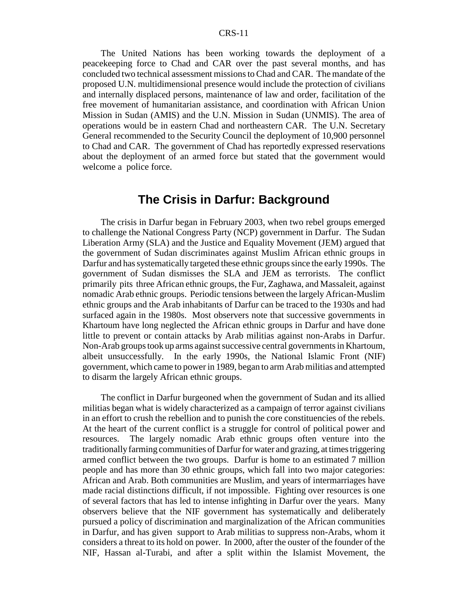The United Nations has been working towards the deployment of a peacekeeping force to Chad and CAR over the past several months, and has concluded two technical assessment missions to Chad and CAR. The mandate of the proposed U.N. multidimensional presence would include the protection of civilians and internally displaced persons, maintenance of law and order, facilitation of the free movement of humanitarian assistance, and coordination with African Union Mission in Sudan (AMIS) and the U.N. Mission in Sudan (UNMIS). The area of operations would be in eastern Chad and northeastern CAR. The U.N. Secretary General recommended to the Security Council the deployment of 10,900 personnel to Chad and CAR. The government of Chad has reportedly expressed reservations about the deployment of an armed force but stated that the government would welcome a police force.

## **The Crisis in Darfur: Background**

The crisis in Darfur began in February 2003, when two rebel groups emerged to challenge the National Congress Party (NCP) government in Darfur. The Sudan Liberation Army (SLA) and the Justice and Equality Movement (JEM) argued that the government of Sudan discriminates against Muslim African ethnic groups in Darfur and has systematically targeted these ethnic groups since the early 1990s. The government of Sudan dismisses the SLA and JEM as terrorists. The conflict primarily pits three African ethnic groups, the Fur, Zaghawa, and Massaleit, against nomadic Arab ethnic groups. Periodic tensions between the largely African-Muslim ethnic groups and the Arab inhabitants of Darfur can be traced to the 1930s and had surfaced again in the 1980s. Most observers note that successive governments in Khartoum have long neglected the African ethnic groups in Darfur and have done little to prevent or contain attacks by Arab militias against non-Arabs in Darfur. Non-Arab groups took up arms against successive central governments in Khartoum, albeit unsuccessfully. In the early 1990s, the National Islamic Front (NIF) government, which came to power in 1989, began to arm Arab militias and attempted to disarm the largely African ethnic groups.

The conflict in Darfur burgeoned when the government of Sudan and its allied militias began what is widely characterized as a campaign of terror against civilians in an effort to crush the rebellion and to punish the core constituencies of the rebels. At the heart of the current conflict is a struggle for control of political power and resources. The largely nomadic Arab ethnic groups often venture into the traditionally farming communities of Darfur for water and grazing, at times triggering armed conflict between the two groups. Darfur is home to an estimated 7 million people and has more than 30 ethnic groups, which fall into two major categories: African and Arab. Both communities are Muslim, and years of intermarriages have made racial distinctions difficult, if not impossible. Fighting over resources is one of several factors that has led to intense infighting in Darfur over the years. Many observers believe that the NIF government has systematically and deliberately pursued a policy of discrimination and marginalization of the African communities in Darfur, and has given support to Arab militias to suppress non-Arabs, whom it considers a threat to its hold on power. In 2000, after the ouster of the founder of the NIF, Hassan al-Turabi, and after a split within the Islamist Movement, the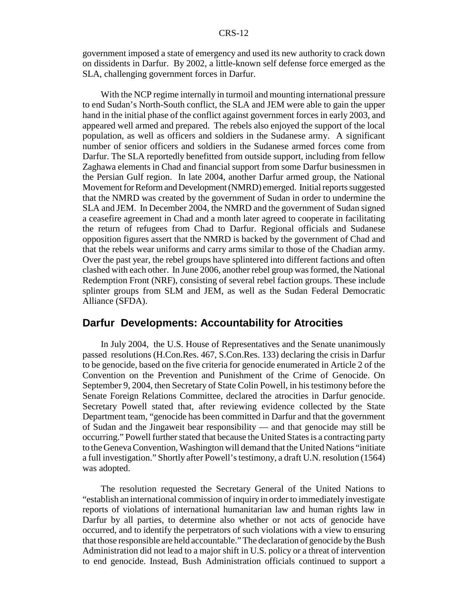government imposed a state of emergency and used its new authority to crack down on dissidents in Darfur. By 2002, a little-known self defense force emerged as the SLA, challenging government forces in Darfur.

With the NCP regime internally in turmoil and mounting international pressure to end Sudan's North-South conflict, the SLA and JEM were able to gain the upper hand in the initial phase of the conflict against government forces in early 2003, and appeared well armed and prepared. The rebels also enjoyed the support of the local population, as well as officers and soldiers in the Sudanese army. A significant number of senior officers and soldiers in the Sudanese armed forces come from Darfur. The SLA reportedly benefitted from outside support, including from fellow Zaghawa elements in Chad and financial support from some Darfur businessmen in the Persian Gulf region. In late 2004, another Darfur armed group, the National Movement for Reform and Development (NMRD) emerged. Initial reports suggested that the NMRD was created by the government of Sudan in order to undermine the SLA and JEM. In December 2004, the NMRD and the government of Sudan signed a ceasefire agreement in Chad and a month later agreed to cooperate in facilitating the return of refugees from Chad to Darfur. Regional officials and Sudanese opposition figures assert that the NMRD is backed by the government of Chad and that the rebels wear uniforms and carry arms similar to those of the Chadian army. Over the past year, the rebel groups have splintered into different factions and often clashed with each other. In June 2006, another rebel group was formed, the National Redemption Front (NRF), consisting of several rebel faction groups. These include splinter groups from SLM and JEM, as well as the Sudan Federal Democratic Alliance (SFDA).

## **Darfur Developments: Accountability for Atrocities**

In July 2004, the U.S. House of Representatives and the Senate unanimously passed resolutions (H.Con.Res. 467, S.Con.Res. 133) declaring the crisis in Darfur to be genocide, based on the five criteria for genocide enumerated in Article 2 of the Convention on the Prevention and Punishment of the Crime of Genocide. On September 9, 2004, then Secretary of State Colin Powell, in his testimony before the Senate Foreign Relations Committee, declared the atrocities in Darfur genocide. Secretary Powell stated that, after reviewing evidence collected by the State Department team, "genocide has been committed in Darfur and that the government of Sudan and the Jingaweit bear responsibility — and that genocide may still be occurring." Powell further stated that because the United States is a contracting party to the Geneva Convention, Washington will demand that the United Nations "initiate a full investigation." Shortly after Powell's testimony, a draft U.N. resolution (1564) was adopted.

The resolution requested the Secretary General of the United Nations to "establish an international commission of inquiry in order to immediately investigate reports of violations of international humanitarian law and human rights law in Darfur by all parties, to determine also whether or not acts of genocide have occurred, and to identify the perpetrators of such violations with a view to ensuring that those responsible are held accountable." The declaration of genocide by the Bush Administration did not lead to a major shift in U.S. policy or a threat of intervention to end genocide. Instead, Bush Administration officials continued to support a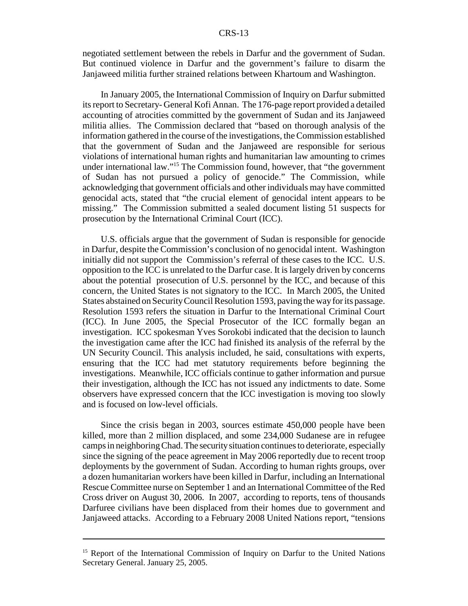negotiated settlement between the rebels in Darfur and the government of Sudan. But continued violence in Darfur and the government's failure to disarm the Janjaweed militia further strained relations between Khartoum and Washington.

In January 2005, the International Commission of Inquiry on Darfur submitted its report to Secretary- General Kofi Annan. The 176-page report provided a detailed accounting of atrocities committed by the government of Sudan and its Janjaweed militia allies. The Commission declared that "based on thorough analysis of the information gathered in the course of the investigations, the Commission established that the government of Sudan and the Janjaweed are responsible for serious violations of international human rights and humanitarian law amounting to crimes under international law."15 The Commission found, however, that "the government of Sudan has not pursued a policy of genocide." The Commission, while acknowledging that government officials and other individuals may have committed genocidal acts, stated that "the crucial element of genocidal intent appears to be missing." The Commission submitted a sealed document listing 51 suspects for prosecution by the International Criminal Court (ICC).

U.S. officials argue that the government of Sudan is responsible for genocide in Darfur, despite the Commission's conclusion of no genocidal intent. Washington initially did not support the Commission's referral of these cases to the ICC. U.S. opposition to the ICC is unrelated to the Darfur case. It is largely driven by concerns about the potential prosecution of U.S. personnel by the ICC, and because of this concern, the United States is not signatory to the ICC. In March 2005, the United States abstained on Security Council Resolution 1593, paving the way for its passage. Resolution 1593 refers the situation in Darfur to the International Criminal Court (ICC). In June 2005, the Special Prosecutor of the ICC formally began an investigation. ICC spokesman Yves Sorokobi indicated that the decision to launch the investigation came after the ICC had finished its analysis of the referral by the UN Security Council. This analysis included, he said, consultations with experts, ensuring that the ICC had met statutory requirements before beginning the investigations. Meanwhile, ICC officials continue to gather information and pursue their investigation, although the ICC has not issued any indictments to date. Some observers have expressed concern that the ICC investigation is moving too slowly and is focused on low-level officials.

Since the crisis began in 2003, sources estimate 450,000 people have been killed, more than 2 million displaced, and some 234,000 Sudanese are in refugee camps in neighboring Chad. The security situation continues to deteriorate, especially since the signing of the peace agreement in May 2006 reportedly due to recent troop deployments by the government of Sudan. According to human rights groups, over a dozen humanitarian workers have been killed in Darfur, including an International Rescue Committee nurse on September 1 and an International Committee of the Red Cross driver on August 30, 2006. In 2007, according to reports, tens of thousands Darfuree civilians have been displaced from their homes due to government and Janjaweed attacks. According to a February 2008 United Nations report, "tensions

<sup>&</sup>lt;sup>15</sup> Report of the International Commission of Inquiry on Darfur to the United Nations Secretary General. January 25, 2005.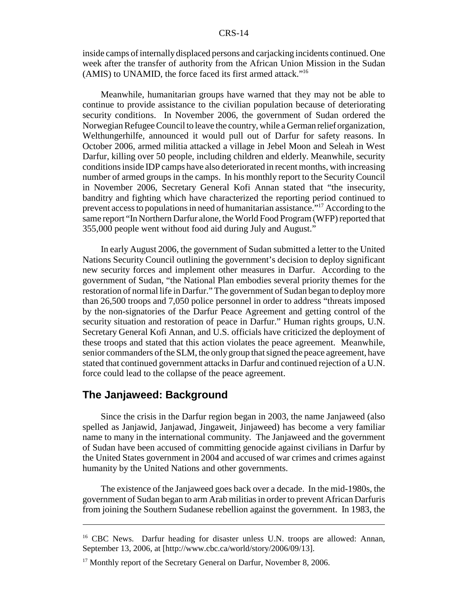inside camps of internally displaced persons and carjacking incidents continued. One week after the transfer of authority from the African Union Mission in the Sudan (AMIS) to UNAMID, the force faced its first armed attack."16

Meanwhile, humanitarian groups have warned that they may not be able to continue to provide assistance to the civilian population because of deteriorating security conditions. In November 2006, the government of Sudan ordered the Norwegian Refugee Council to leave the country, while a German relief organization, Welthungerhilfe, announced it would pull out of Darfur for safety reasons. In October 2006, armed militia attacked a village in Jebel Moon and Seleah in West Darfur, killing over 50 people, including children and elderly. Meanwhile, security conditions inside IDP camps have also deteriorated in recent months, with increasing number of armed groups in the camps. In his monthly report to the Security Council in November 2006, Secretary General Kofi Annan stated that "the insecurity, banditry and fighting which have characterized the reporting period continued to prevent access to populations in need of humanitarian assistance."17 According to the same report "In Northern Darfur alone, the World Food Program (WFP) reported that 355,000 people went without food aid during July and August."

In early August 2006, the government of Sudan submitted a letter to the United Nations Security Council outlining the government's decision to deploy significant new security forces and implement other measures in Darfur. According to the government of Sudan, "the National Plan embodies several priority themes for the restoration of normal life in Darfur." The government of Sudan began to deploy more than 26,500 troops and 7,050 police personnel in order to address "threats imposed by the non-signatories of the Darfur Peace Agreement and getting control of the security situation and restoration of peace in Darfur." Human rights groups, U.N. Secretary General Kofi Annan, and U.S. officials have criticized the deployment of these troops and stated that this action violates the peace agreement. Meanwhile, senior commanders of the SLM, the only group that signed the peace agreement, have stated that continued government attacks in Darfur and continued rejection of a U.N. force could lead to the collapse of the peace agreement.

#### **The Janjaweed: Background**

Since the crisis in the Darfur region began in 2003, the name Janjaweed (also spelled as Janjawid, Janjawad, Jingaweit, Jinjaweed) has become a very familiar name to many in the international community. The Janjaweed and the government of Sudan have been accused of committing genocide against civilians in Darfur by the United States government in 2004 and accused of war crimes and crimes against humanity by the United Nations and other governments.

The existence of the Janjaweed goes back over a decade. In the mid-1980s, the government of Sudan began to arm Arab militias in order to prevent African Darfuris from joining the Southern Sudanese rebellion against the government. In 1983, the

<sup>&</sup>lt;sup>16</sup> CBC News. Darfur heading for disaster unless U.N. troops are allowed: Annan, September 13, 2006, at [http://www.cbc.ca/world/story/2006/09/13].

<sup>&</sup>lt;sup>17</sup> Monthly report of the Secretary General on Darfur, November 8, 2006.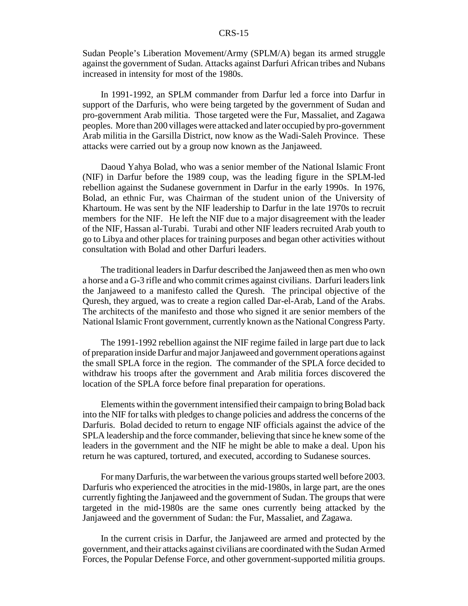Sudan People's Liberation Movement/Army (SPLM/A) began its armed struggle against the government of Sudan. Attacks against Darfuri African tribes and Nubans increased in intensity for most of the 1980s.

In 1991-1992, an SPLM commander from Darfur led a force into Darfur in support of the Darfuris, who were being targeted by the government of Sudan and pro-government Arab militia. Those targeted were the Fur, Massaliet, and Zagawa peoples. More than 200 villages were attacked and later occupied by pro-government Arab militia in the Garsilla District, now know as the Wadi-Saleh Province. These attacks were carried out by a group now known as the Janjaweed.

Daoud Yahya Bolad, who was a senior member of the National Islamic Front (NIF) in Darfur before the 1989 coup, was the leading figure in the SPLM-led rebellion against the Sudanese government in Darfur in the early 1990s. In 1976, Bolad, an ethnic Fur, was Chairman of the student union of the University of Khartoum. He was sent by the NIF leadership to Darfur in the late 1970s to recruit members for the NIF. He left the NIF due to a major disagreement with the leader of the NIF, Hassan al-Turabi. Turabi and other NIF leaders recruited Arab youth to go to Libya and other places for training purposes and began other activities without consultation with Bolad and other Darfuri leaders.

The traditional leaders in Darfur described the Janjaweed then as men who own a horse and a G-3 rifle and who commit crimes against civilians. Darfuri leaders link the Janjaweed to a manifesto called the Quresh. The principal objective of the Quresh, they argued, was to create a region called Dar-el-Arab, Land of the Arabs. The architects of the manifesto and those who signed it are senior members of the National Islamic Front government, currently known as the National Congress Party.

The 1991-1992 rebellion against the NIF regime failed in large part due to lack of preparation inside Darfur and major Janjaweed and government operations against the small SPLA force in the region. The commander of the SPLA force decided to withdraw his troops after the government and Arab militia forces discovered the location of the SPLA force before final preparation for operations.

Elements within the government intensified their campaign to bring Bolad back into the NIF for talks with pledges to change policies and address the concerns of the Darfuris. Bolad decided to return to engage NIF officials against the advice of the SPLA leadership and the force commander, believing that since he knew some of the leaders in the government and the NIF he might be able to make a deal. Upon his return he was captured, tortured, and executed, according to Sudanese sources.

For many Darfuris, the war between the various groups started well before 2003. Darfuris who experienced the atrocities in the mid-1980s, in large part, are the ones currently fighting the Janjaweed and the government of Sudan. The groups that were targeted in the mid-1980s are the same ones currently being attacked by the Janjaweed and the government of Sudan: the Fur, Massaliet, and Zagawa.

In the current crisis in Darfur, the Janjaweed are armed and protected by the government, and their attacks against civilians are coordinated with the Sudan Armed Forces, the Popular Defense Force, and other government-supported militia groups.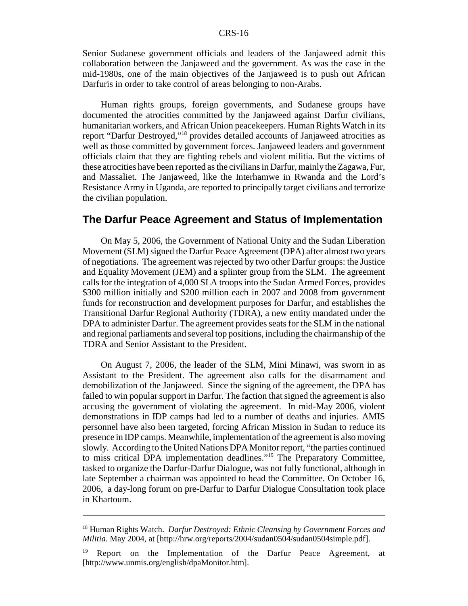Senior Sudanese government officials and leaders of the Janjaweed admit this collaboration between the Janjaweed and the government. As was the case in the mid-1980s, one of the main objectives of the Janjaweed is to push out African Darfuris in order to take control of areas belonging to non-Arabs.

Human rights groups, foreign governments, and Sudanese groups have documented the atrocities committed by the Janjaweed against Darfur civilians, humanitarian workers, and African Union peacekeepers. Human Rights Watch in its report "Darfur Destroyed,"18 provides detailed accounts of Janjaweed atrocities as well as those committed by government forces. Janjaweed leaders and government officials claim that they are fighting rebels and violent militia. But the victims of these atrocities have been reported as the civilians in Darfur, mainly the Zagawa, Fur, and Massaliet. The Janjaweed, like the Interhamwe in Rwanda and the Lord's Resistance Army in Uganda, are reported to principally target civilians and terrorize the civilian population.

#### **The Darfur Peace Agreement and Status of Implementation**

On May 5, 2006, the Government of National Unity and the Sudan Liberation Movement (SLM) signed the Darfur Peace Agreement (DPA) after almost two years of negotiations. The agreement was rejected by two other Darfur groups: the Justice and Equality Movement (JEM) and a splinter group from the SLM. The agreement calls for the integration of 4,000 SLA troops into the Sudan Armed Forces, provides \$300 million initially and \$200 million each in 2007 and 2008 from government funds for reconstruction and development purposes for Darfur, and establishes the Transitional Darfur Regional Authority (TDRA), a new entity mandated under the DPA to administer Darfur. The agreement provides seats for the SLM in the national and regional parliaments and several top positions, including the chairmanship of the TDRA and Senior Assistant to the President.

On August 7, 2006, the leader of the SLM, Mini Minawi, was sworn in as Assistant to the President. The agreement also calls for the disarmament and demobilization of the Janjaweed. Since the signing of the agreement, the DPA has failed to win popular support in Darfur. The faction that signed the agreement is also accusing the government of violating the agreement. In mid-May 2006, violent demonstrations in IDP camps had led to a number of deaths and injuries. AMIS personnel have also been targeted, forcing African Mission in Sudan to reduce its presence in IDP camps. Meanwhile, implementation of the agreement is also moving slowly. According to the United Nations DPA Monitor report, "the parties continued to miss critical DPA implementation deadlines."19 The Preparatory Committee, tasked to organize the Darfur-Darfur Dialogue, was not fully functional, although in late September a chairman was appointed to head the Committee. On October 16, 2006, a day-long forum on pre-Darfur to Darfur Dialogue Consultation took place in Khartoum.

<sup>18</sup> Human Rights Watch. *Darfur Destroyed: Ethnic Cleansing by Government Forces and Militia.* May 2004, at [http://hrw.org/reports/2004/sudan0504/sudan0504simple.pdf].

<sup>&</sup>lt;sup>19</sup> Report on the Implementation of the Darfur Peace Agreement, at [http://www.unmis.org/english/dpaMonitor.htm].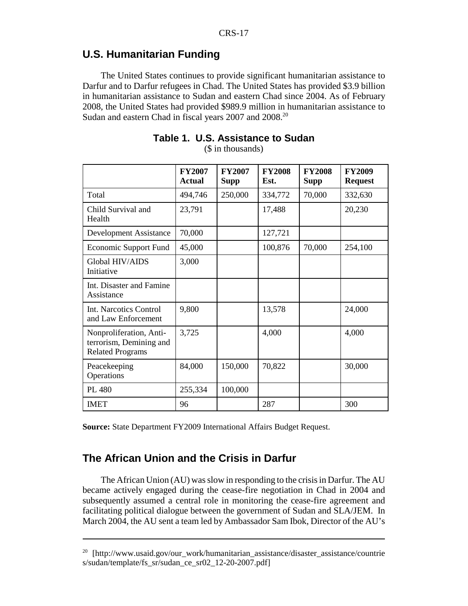## **U.S. Humanitarian Funding**

The United States continues to provide significant humanitarian assistance to Darfur and to Darfur refugees in Chad. The United States has provided \$3.9 billion in humanitarian assistance to Sudan and eastern Chad since 2004. As of February 2008, the United States had provided \$989.9 million in humanitarian assistance to Sudan and eastern Chad in fiscal years 2007 and 2008.<sup>20</sup>

|                                                                               | <b>FY2007</b><br><b>Actual</b> | <b>FY2007</b><br><b>Supp</b> | <b>FY2008</b><br>Est. | <b>FY2008</b><br><b>Supp</b> | <b>FY2009</b><br><b>Request</b> |
|-------------------------------------------------------------------------------|--------------------------------|------------------------------|-----------------------|------------------------------|---------------------------------|
| Total                                                                         | 494,746                        | 250,000                      | 334,772               | 70,000                       | 332,630                         |
| Child Survival and<br>Health                                                  | 23,791                         |                              | 17,488                |                              | 20,230                          |
| <b>Development Assistance</b>                                                 | 70,000                         |                              | 127,721               |                              |                                 |
| Economic Support Fund                                                         | 45,000                         |                              | 100,876               | 70,000                       | 254,100                         |
| Global HIV/AIDS<br>Initiative                                                 | 3,000                          |                              |                       |                              |                                 |
| Int. Disaster and Famine<br>Assistance                                        |                                |                              |                       |                              |                                 |
| Int. Narcotics Control<br>and Law Enforcement                                 | 9,800                          |                              | 13,578                |                              | 24,000                          |
| Nonproliferation, Anti-<br>terrorism, Demining and<br><b>Related Programs</b> | 3,725                          |                              | 4,000                 |                              | 4,000                           |
| Peacekeeping<br>Operations                                                    | 84,000                         | 150,000                      | 70,822                |                              | 30,000                          |
| PL 480                                                                        | 255,334                        | 100,000                      |                       |                              |                                 |
| <b>IMET</b>                                                                   | 96                             |                              | 287                   |                              | 300                             |

**Table 1. U.S. Assistance to Sudan** (\$ in thousands)

**Source:** State Department FY2009 International Affairs Budget Request.

## **The African Union and the Crisis in Darfur**

The African Union (AU) was slow in responding to the crisis in Darfur. The AU became actively engaged during the cease-fire negotiation in Chad in 2004 and subsequently assumed a central role in monitoring the cease-fire agreement and facilitating political dialogue between the government of Sudan and SLA/JEM. In March 2004, the AU sent a team led by Ambassador Sam Ibok, Director of the AU's

<sup>&</sup>lt;sup>20</sup> [http://www.usaid.gov/our\_work/humanitarian\_assistance/disaster\_assistance/countrie s/sudan/template/fs\_sr/sudan\_ce\_sr02\_12-20-2007.pdf]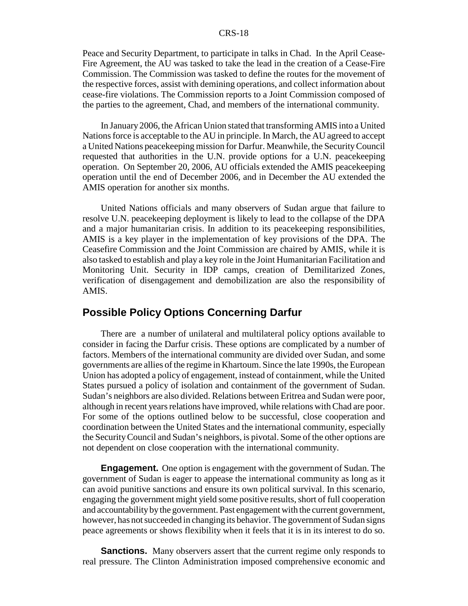Peace and Security Department, to participate in talks in Chad. In the April Cease-Fire Agreement, the AU was tasked to take the lead in the creation of a Cease-Fire Commission. The Commission was tasked to define the routes for the movement of the respective forces, assist with demining operations, and collect information about cease-fire violations. The Commission reports to a Joint Commission composed of the parties to the agreement, Chad, and members of the international community.

In January 2006, the African Union stated that transforming AMIS into a United Nations force is acceptable to the AU in principle. In March, the AU agreed to accept a United Nations peacekeeping mission for Darfur. Meanwhile, the Security Council requested that authorities in the U.N. provide options for a U.N. peacekeeping operation. On September 20, 2006, AU officials extended the AMIS peacekeeping operation until the end of December 2006, and in December the AU extended the AMIS operation for another six months.

United Nations officials and many observers of Sudan argue that failure to resolve U.N. peacekeeping deployment is likely to lead to the collapse of the DPA and a major humanitarian crisis. In addition to its peacekeeping responsibilities, AMIS is a key player in the implementation of key provisions of the DPA. The Ceasefire Commission and the Joint Commission are chaired by AMIS, while it is also tasked to establish and play a key role in the Joint Humanitarian Facilitation and Monitoring Unit. Security in IDP camps, creation of Demilitarized Zones, verification of disengagement and demobilization are also the responsibility of AMIS.

#### **Possible Policy Options Concerning Darfur**

There are a number of unilateral and multilateral policy options available to consider in facing the Darfur crisis. These options are complicated by a number of factors. Members of the international community are divided over Sudan, and some governments are allies of the regime in Khartoum. Since the late 1990s, the European Union has adopted a policy of engagement, instead of containment, while the United States pursued a policy of isolation and containment of the government of Sudan. Sudan's neighbors are also divided. Relations between Eritrea and Sudan were poor, although in recent years relations have improved, while relations with Chad are poor. For some of the options outlined below to be successful, close cooperation and coordination between the United States and the international community, especially the Security Council and Sudan's neighbors, is pivotal. Some of the other options are not dependent on close cooperation with the international community.

**Engagement.** One option is engagement with the government of Sudan. The government of Sudan is eager to appease the international community as long as it can avoid punitive sanctions and ensure its own political survival. In this scenario, engaging the government might yield some positive results, short of full cooperation and accountability by the government. Past engagement with the current government, however, has not succeeded in changing its behavior. The government of Sudan signs peace agreements or shows flexibility when it feels that it is in its interest to do so.

**Sanctions.** Many observers assert that the current regime only responds to real pressure. The Clinton Administration imposed comprehensive economic and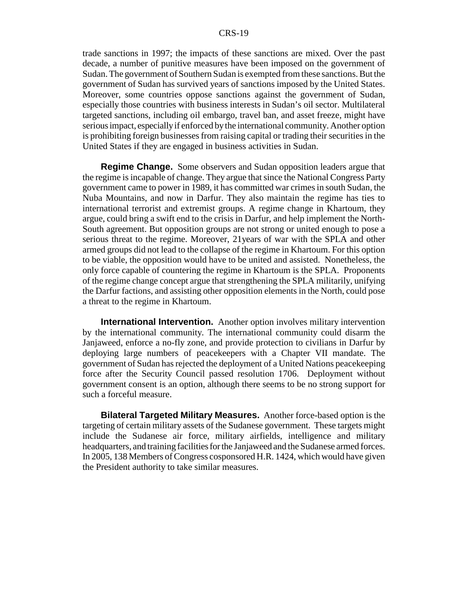trade sanctions in 1997; the impacts of these sanctions are mixed. Over the past decade, a number of punitive measures have been imposed on the government of Sudan. The government of Southern Sudan is exempted from these sanctions. But the government of Sudan has survived years of sanctions imposed by the United States. Moreover, some countries oppose sanctions against the government of Sudan, especially those countries with business interests in Sudan's oil sector. Multilateral targeted sanctions, including oil embargo, travel ban, and asset freeze, might have serious impact, especially if enforced by the international community. Another option is prohibiting foreign businesses from raising capital or trading their securities in the United States if they are engaged in business activities in Sudan.

**Regime Change.** Some observers and Sudan opposition leaders argue that the regime is incapable of change. They argue that since the National Congress Party government came to power in 1989, it has committed war crimes in south Sudan, the Nuba Mountains, and now in Darfur. They also maintain the regime has ties to international terrorist and extremist groups. A regime change in Khartoum, they argue, could bring a swift end to the crisis in Darfur, and help implement the North-South agreement. But opposition groups are not strong or united enough to pose a serious threat to the regime. Moreover, 21years of war with the SPLA and other armed groups did not lead to the collapse of the regime in Khartoum. For this option to be viable, the opposition would have to be united and assisted. Nonetheless, the only force capable of countering the regime in Khartoum is the SPLA. Proponents of the regime change concept argue that strengthening the SPLA militarily, unifying the Darfur factions, and assisting other opposition elements in the North, could pose a threat to the regime in Khartoum.

**International Intervention.** Another option involves military intervention by the international community. The international community could disarm the Janjaweed, enforce a no-fly zone, and provide protection to civilians in Darfur by deploying large numbers of peacekeepers with a Chapter VII mandate. The government of Sudan has rejected the deployment of a United Nations peacekeeping force after the Security Council passed resolution 1706. Deployment without government consent is an option, although there seems to be no strong support for such a forceful measure.

**Bilateral Targeted Military Measures.** Another force-based option is the targeting of certain military assets of the Sudanese government. These targets might include the Sudanese air force, military airfields, intelligence and military headquarters, and training facilities for the Janjaweed and the Sudanese armed forces. In 2005, 138 Members of Congress cosponsored H.R. 1424, which would have given the President authority to take similar measures.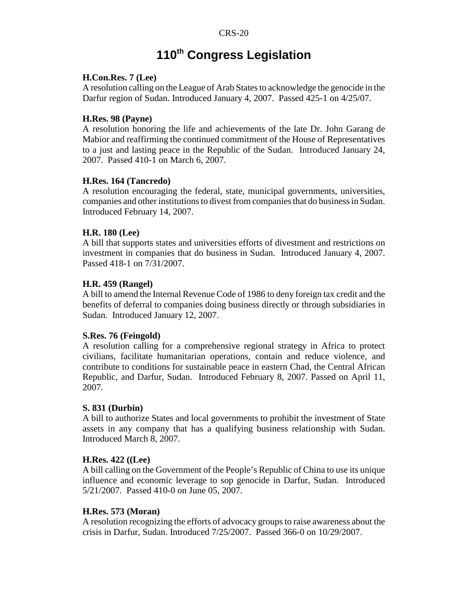## **110th Congress Legislation**

#### **H.Con.Res. 7 (Lee)**

A resolution calling on the League of Arab States to acknowledge the genocide in the Darfur region of Sudan. Introduced January 4, 2007. Passed 425-1 on 4/25/07.

#### **H.Res. 98 (Payne)**

A resolution honoring the life and achievements of the late Dr. John Garang de Mabior and reaffirming the continued commitment of the House of Representatives to a just and lasting peace in the Republic of the Sudan. Introduced January 24, 2007. Passed 410-1 on March 6, 2007.

#### **H.Res. 164 (Tancredo)**

A resolution encouraging the federal, state, municipal governments, universities, companies and other institutions to divest from companies that do business in Sudan. Introduced February 14, 2007.

#### **H.R. 180 (Lee)**

A bill that supports states and universities efforts of divestment and restrictions on investment in companies that do business in Sudan. Introduced January 4, 2007. Passed 418-1 on 7/31/2007.

#### **H.R. 459 (Rangel)**

A bill to amend the Internal Revenue Code of 1986 to deny foreign tax credit and the benefits of deferral to companies doing business directly or through subsidiaries in Sudan. Introduced January 12, 2007.

#### **S.Res. 76 (Feingold)**

A resolution calling for a comprehensive regional strategy in Africa to protect civilians, facilitate humanitarian operations, contain and reduce violence, and contribute to conditions for sustainable peace in eastern Chad, the Central African Republic, and Darfur, Sudan. Introduced February 8, 2007. Passed on April 11, 2007.

#### **S. 831 (Durbin)**

A bill to authorize States and local governments to prohibit the investment of State assets in any company that has a qualifying business relationship with Sudan. Introduced March 8, 2007.

#### **H.Res. 422 ((Lee)**

A bill calling on the Government of the People's Republic of China to use its unique influence and economic leverage to sop genocide in Darfur, Sudan. Introduced 5/21/2007. Passed 410-0 on June 05, 2007.

#### **H.Res. 573 (Moran)**

A resolution recognizing the efforts of advocacy groups to raise awareness about the crisis in Darfur, Sudan. Introduced 7/25/2007. Passed 366-0 on 10/29/2007.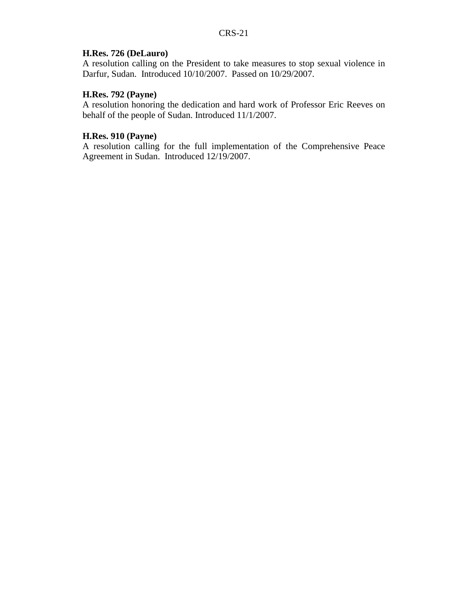#### **H.Res. 726 (DeLauro)**

A resolution calling on the President to take measures to stop sexual violence in Darfur, Sudan. Introduced 10/10/2007. Passed on 10/29/2007.

#### **H.Res. 792 (Payne)**

A resolution honoring the dedication and hard work of Professor Eric Reeves on behalf of the people of Sudan. Introduced 11/1/2007.

#### **H.Res. 910 (Payne)**

A resolution calling for the full implementation of the Comprehensive Peace Agreement in Sudan. Introduced 12/19/2007.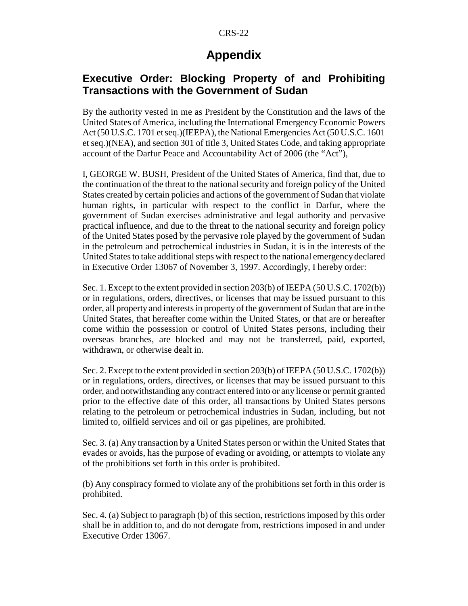## **Appendix**

## **Executive Order: Blocking Property of and Prohibiting Transactions with the Government of Sudan**

By the authority vested in me as President by the Constitution and the laws of the United States of America, including the International Emergency Economic Powers Act (50 U.S.C. 1701 et seq.)(IEEPA), the National Emergencies Act (50 U.S.C. 1601 et seq.)(NEA), and section 301 of title 3, United States Code, and taking appropriate account of the Darfur Peace and Accountability Act of 2006 (the "Act"),

I, GEORGE W. BUSH, President of the United States of America, find that, due to the continuation of the threat to the national security and foreign policy of the United States created by certain policies and actions of the government of Sudan that violate human rights, in particular with respect to the conflict in Darfur, where the government of Sudan exercises administrative and legal authority and pervasive practical influence, and due to the threat to the national security and foreign policy of the United States posed by the pervasive role played by the government of Sudan in the petroleum and petrochemical industries in Sudan, it is in the interests of the United States to take additional steps with respect to the national emergency declared in Executive Order 13067 of November 3, 1997. Accordingly, I hereby order:

Sec. 1. Except to the extent provided in section 203(b) of IEEPA (50 U.S.C. 1702(b)) or in regulations, orders, directives, or licenses that may be issued pursuant to this order, all property and interests in property of the government of Sudan that are in the United States, that hereafter come within the United States, or that are or hereafter come within the possession or control of United States persons, including their overseas branches, are blocked and may not be transferred, paid, exported, withdrawn, or otherwise dealt in.

Sec. 2. Except to the extent provided in section 203(b) of IEEPA (50 U.S.C. 1702(b)) or in regulations, orders, directives, or licenses that may be issued pursuant to this order, and notwithstanding any contract entered into or any license or permit granted prior to the effective date of this order, all transactions by United States persons relating to the petroleum or petrochemical industries in Sudan, including, but not limited to, oilfield services and oil or gas pipelines, are prohibited.

Sec. 3. (a) Any transaction by a United States person or within the United States that evades or avoids, has the purpose of evading or avoiding, or attempts to violate any of the prohibitions set forth in this order is prohibited.

(b) Any conspiracy formed to violate any of the prohibitions set forth in this order is prohibited.

Sec. 4. (a) Subject to paragraph (b) of this section, restrictions imposed by this order shall be in addition to, and do not derogate from, restrictions imposed in and under Executive Order 13067.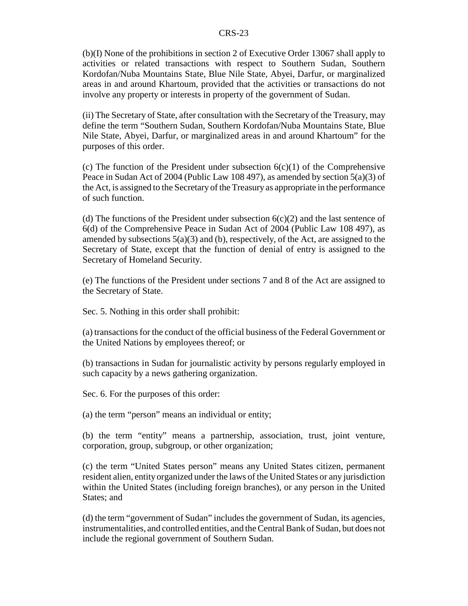(b)(I) None of the prohibitions in section 2 of Executive Order 13067 shall apply to activities or related transactions with respect to Southern Sudan, Southern Kordofan/Nuba Mountains State, Blue Nile State, Abyei, Darfur, or marginalized areas in and around Khartoum, provided that the activities or transactions do not involve any property or interests in property of the government of Sudan.

(ii) The Secretary of State, after consultation with the Secretary of the Treasury, may define the term "Southern Sudan, Southern Kordofan/Nuba Mountains State, Blue Nile State, Abyei, Darfur, or marginalized areas in and around Khartoum" for the purposes of this order.

(c) The function of the President under subsection  $6(c)(1)$  of the Comprehensive Peace in Sudan Act of 2004 (Public Law 108 497), as amended by section 5(a)(3) of the Act, is assigned to the Secretary of the Treasury as appropriate in the performance of such function.

(d) The functions of the President under subsection  $6(c)(2)$  and the last sentence of 6(d) of the Comprehensive Peace in Sudan Act of 2004 (Public Law 108 497), as amended by subsections  $5(a)(3)$  and (b), respectively, of the Act, are assigned to the Secretary of State, except that the function of denial of entry is assigned to the Secretary of Homeland Security.

(e) The functions of the President under sections 7 and 8 of the Act are assigned to the Secretary of State.

Sec. 5. Nothing in this order shall prohibit:

(a) transactions for the conduct of the official business of the Federal Government or the United Nations by employees thereof; or

(b) transactions in Sudan for journalistic activity by persons regularly employed in such capacity by a news gathering organization.

Sec. 6. For the purposes of this order:

(a) the term "person" means an individual or entity;

(b) the term "entity" means a partnership, association, trust, joint venture, corporation, group, subgroup, or other organization;

(c) the term "United States person" means any United States citizen, permanent resident alien, entity organized under the laws of the United States or any jurisdiction within the United States (including foreign branches), or any person in the United States; and

(d) the term "government of Sudan" includes the government of Sudan, its agencies, instrumentalities, and controlled entities, and the Central Bank of Sudan, but does not include the regional government of Southern Sudan.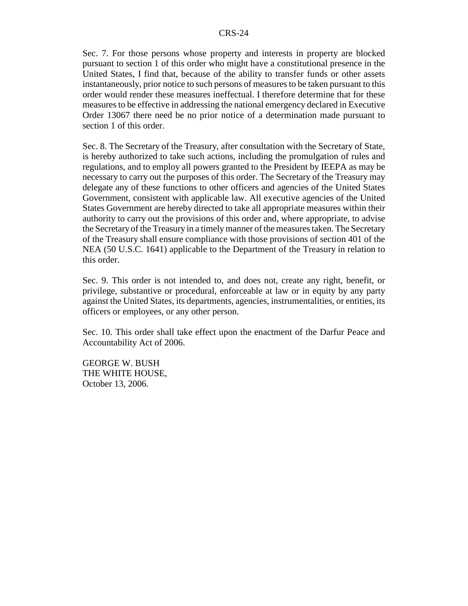Sec. 7. For those persons whose property and interests in property are blocked pursuant to section 1 of this order who might have a constitutional presence in the United States, I find that, because of the ability to transfer funds or other assets instantaneously, prior notice to such persons of measures to be taken pursuant to this order would render these measures ineffectual. I therefore determine that for these measures to be effective in addressing the national emergency declared in Executive Order 13067 there need be no prior notice of a determination made pursuant to section 1 of this order.

Sec. 8. The Secretary of the Treasury, after consultation with the Secretary of State, is hereby authorized to take such actions, including the promulgation of rules and regulations, and to employ all powers granted to the President by IEEPA as may be necessary to carry out the purposes of this order. The Secretary of the Treasury may delegate any of these functions to other officers and agencies of the United States Government, consistent with applicable law. All executive agencies of the United States Government are hereby directed to take all appropriate measures within their authority to carry out the provisions of this order and, where appropriate, to advise the Secretary of the Treasury in a timely manner of the measures taken. The Secretary of the Treasury shall ensure compliance with those provisions of section 401 of the NEA (50 U.S.C. 1641) applicable to the Department of the Treasury in relation to this order.

Sec. 9. This order is not intended to, and does not, create any right, benefit, or privilege, substantive or procedural, enforceable at law or in equity by any party against the United States, its departments, agencies, instrumentalities, or entities, its officers or employees, or any other person.

Sec. 10. This order shall take effect upon the enactment of the Darfur Peace and Accountability Act of 2006.

GEORGE W. BUSH THE WHITE HOUSE, October 13, 2006.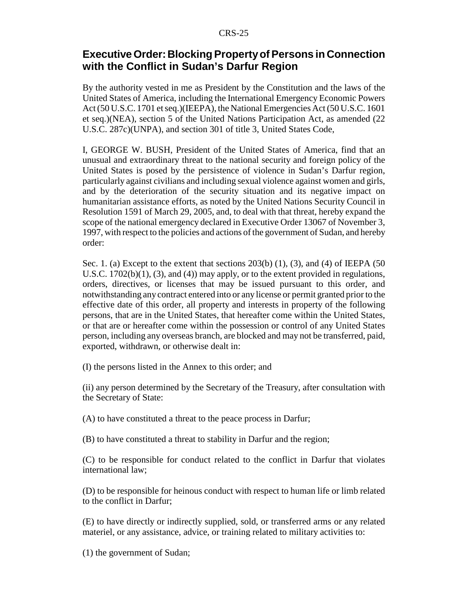## **Executive Order: Blocking Property of Persons in Connection with the Conflict in Sudan's Darfur Region**

By the authority vested in me as President by the Constitution and the laws of the United States of America, including the International Emergency Economic Powers Act (50 U.S.C. 1701 et seq.)(IEEPA), the National Emergencies Act (50 U.S.C. 1601 et seq.)(NEA), section 5 of the United Nations Participation Act, as amended (22 U.S.C. 287c)(UNPA), and section 301 of title 3, United States Code,

I, GEORGE W. BUSH, President of the United States of America, find that an unusual and extraordinary threat to the national security and foreign policy of the United States is posed by the persistence of violence in Sudan's Darfur region, particularly against civilians and including sexual violence against women and girls, and by the deterioration of the security situation and its negative impact on humanitarian assistance efforts, as noted by the United Nations Security Council in Resolution 1591 of March 29, 2005, and, to deal with that threat, hereby expand the scope of the national emergency declared in Executive Order 13067 of November 3, 1997, with respect to the policies and actions of the government of Sudan, and hereby order:

Sec. 1. (a) Except to the extent that sections  $203(b)$  (1), (3), and (4) of IEEPA (50) U.S.C.  $1702(b)(1)$ ,  $(3)$ , and  $(4)$ ) may apply, or to the extent provided in regulations, orders, directives, or licenses that may be issued pursuant to this order, and notwithstanding any contract entered into or any license or permit granted prior to the effective date of this order, all property and interests in property of the following persons, that are in the United States, that hereafter come within the United States, or that are or hereafter come within the possession or control of any United States person, including any overseas branch, are blocked and may not be transferred, paid, exported, withdrawn, or otherwise dealt in:

(I) the persons listed in the Annex to this order; and

(ii) any person determined by the Secretary of the Treasury, after consultation with the Secretary of State:

(A) to have constituted a threat to the peace process in Darfur;

(B) to have constituted a threat to stability in Darfur and the region;

(C) to be responsible for conduct related to the conflict in Darfur that violates international law;

(D) to be responsible for heinous conduct with respect to human life or limb related to the conflict in Darfur;

(E) to have directly or indirectly supplied, sold, or transferred arms or any related materiel, or any assistance, advice, or training related to military activities to:

(1) the government of Sudan;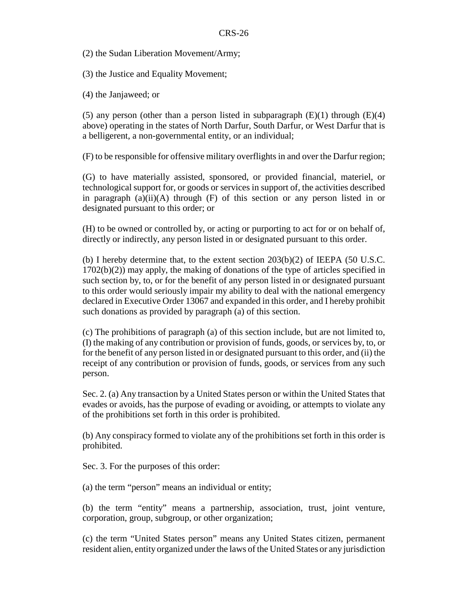(2) the Sudan Liberation Movement/Army;

(3) the Justice and Equality Movement;

(4) the Janjaweed; or

(5) any person (other than a person listed in subparagraph  $(E)(1)$  through  $(E)(4)$ above) operating in the states of North Darfur, South Darfur, or West Darfur that is a belligerent, a non-governmental entity, or an individual;

(F) to be responsible for offensive military overflights in and over the Darfur region;

(G) to have materially assisted, sponsored, or provided financial, materiel, or technological support for, or goods or services in support of, the activities described in paragraph (a)(ii)(A) through (F) of this section or any person listed in or designated pursuant to this order; or

(H) to be owned or controlled by, or acting or purporting to act for or on behalf of, directly or indirectly, any person listed in or designated pursuant to this order.

(b) I hereby determine that, to the extent section  $203(b)(2)$  of IEEPA (50 U.S.C. 1702(b)(2)) may apply, the making of donations of the type of articles specified in such section by, to, or for the benefit of any person listed in or designated pursuant to this order would seriously impair my ability to deal with the national emergency declared in Executive Order 13067 and expanded in this order, and I hereby prohibit such donations as provided by paragraph (a) of this section.

(c) The prohibitions of paragraph (a) of this section include, but are not limited to, (I) the making of any contribution or provision of funds, goods, or services by, to, or for the benefit of any person listed in or designated pursuant to this order, and (ii) the receipt of any contribution or provision of funds, goods, or services from any such person.

Sec. 2. (a) Any transaction by a United States person or within the United States that evades or avoids, has the purpose of evading or avoiding, or attempts to violate any of the prohibitions set forth in this order is prohibited.

(b) Any conspiracy formed to violate any of the prohibitions set forth in this order is prohibited.

Sec. 3. For the purposes of this order:

(a) the term "person" means an individual or entity;

(b) the term "entity" means a partnership, association, trust, joint venture, corporation, group, subgroup, or other organization;

(c) the term "United States person" means any United States citizen, permanent resident alien, entity organized under the laws of the United States or any jurisdiction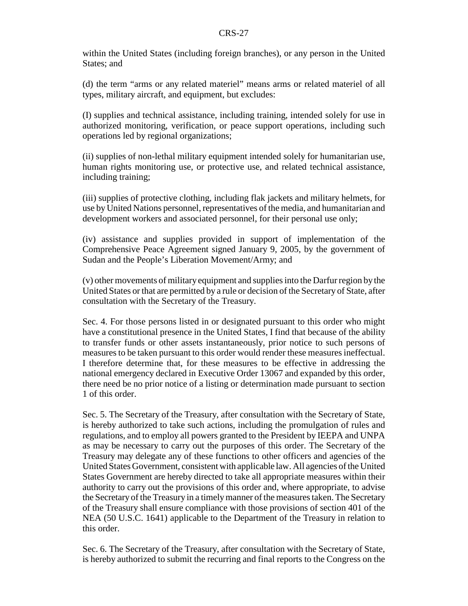within the United States (including foreign branches), or any person in the United States; and

(d) the term "arms or any related materiel" means arms or related materiel of all types, military aircraft, and equipment, but excludes:

(I) supplies and technical assistance, including training, intended solely for use in authorized monitoring, verification, or peace support operations, including such operations led by regional organizations;

(ii) supplies of non-lethal military equipment intended solely for humanitarian use, human rights monitoring use, or protective use, and related technical assistance, including training;

(iii) supplies of protective clothing, including flak jackets and military helmets, for use by United Nations personnel, representatives of the media, and humanitarian and development workers and associated personnel, for their personal use only;

(iv) assistance and supplies provided in support of implementation of the Comprehensive Peace Agreement signed January 9, 2005, by the government of Sudan and the People's Liberation Movement/Army; and

(v) other movements of military equipment and supplies into the Darfur region by the United States or that are permitted by a rule or decision of the Secretary of State, after consultation with the Secretary of the Treasury.

Sec. 4. For those persons listed in or designated pursuant to this order who might have a constitutional presence in the United States, I find that because of the ability to transfer funds or other assets instantaneously, prior notice to such persons of measures to be taken pursuant to this order would render these measures ineffectual. I therefore determine that, for these measures to be effective in addressing the national emergency declared in Executive Order 13067 and expanded by this order, there need be no prior notice of a listing or determination made pursuant to section 1 of this order.

Sec. 5. The Secretary of the Treasury, after consultation with the Secretary of State, is hereby authorized to take such actions, including the promulgation of rules and regulations, and to employ all powers granted to the President by IEEPA and UNPA as may be necessary to carry out the purposes of this order. The Secretary of the Treasury may delegate any of these functions to other officers and agencies of the United States Government, consistent with applicable law. All agencies of the United States Government are hereby directed to take all appropriate measures within their authority to carry out the provisions of this order and, where appropriate, to advise the Secretary of the Treasury in a timely manner of the measures taken. The Secretary of the Treasury shall ensure compliance with those provisions of section 401 of the NEA (50 U.S.C. 1641) applicable to the Department of the Treasury in relation to this order.

Sec. 6. The Secretary of the Treasury, after consultation with the Secretary of State, is hereby authorized to submit the recurring and final reports to the Congress on the